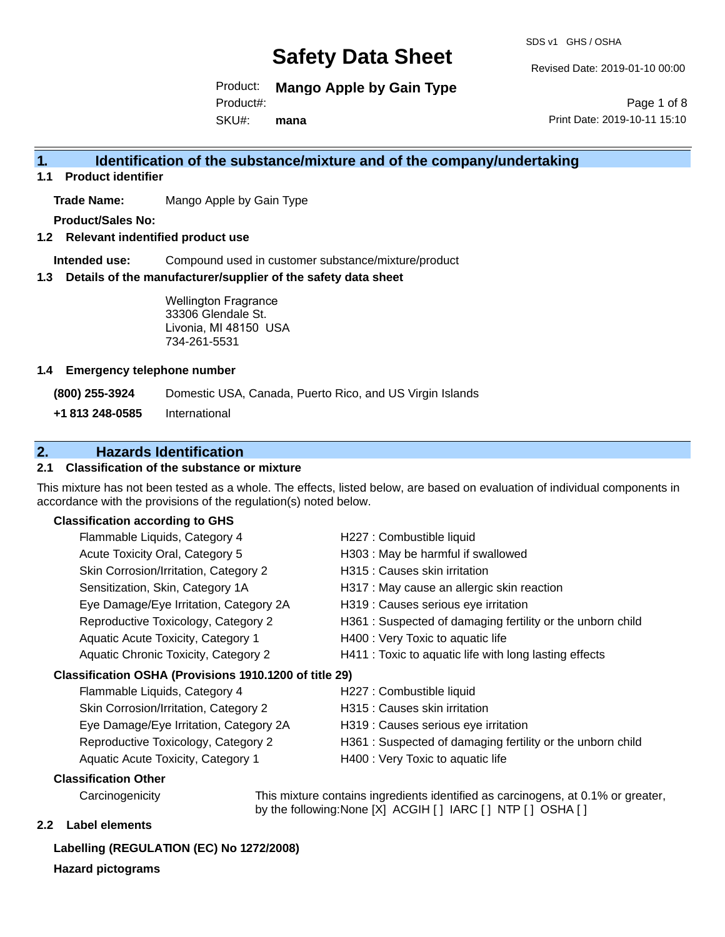SDS v1 GHS / OSHA

Revised Date: 2019-01-10 00:00

Product: **Mango Apple by Gain Type** Product#:

SKU#: **mana**

Page 1 of 8 Print Date: 2019-10-11 15:10

### **1. Identification of the substance/mixture and of the company/undertaking**

**1.1 Product identifier**

**Trade Name:** Mango Apple by Gain Type

**Product/Sales No:**

**1.2 Relevant indentified product use**

**Intended use:** Compound used in customer substance/mixture/product

**1.3 Details of the manufacturer/supplier of the safety data sheet**

Wellington Fragrance 33306 Glendale St. Livonia, MI 48150 USA 734-261-5531

#### **1.4 Emergency telephone number**

**(800) 255-3924** Domestic USA, Canada, Puerto Rico, and US Virgin Islands

**+1 813 248-0585** International

### **2. Hazards Identification**

#### **2.1 Classification of the substance or mixture**

This mixture has not been tested as a whole. The effects, listed below, are based on evaluation of individual components in accordance with the provisions of the regulation(s) noted below.

#### **Classification according to GHS**

| Flammable Liquids, Category 4                            | H227 : Combustible liquid                                 |
|----------------------------------------------------------|-----------------------------------------------------------|
| Acute Toxicity Oral, Category 5                          | H303 : May be harmful if swallowed                        |
| Skin Corrosion/Irritation, Category 2                    | H315 : Causes skin irritation                             |
| Sensitization, Skin, Category 1A                         | H317 : May cause an allergic skin reaction                |
| Eye Damage/Eye Irritation, Category 2A                   | H319 : Causes serious eye irritation                      |
| Reproductive Toxicology, Category 2                      | H361: Suspected of damaging fertility or the unborn child |
| Aquatic Acute Toxicity, Category 1                       | H400 : Very Toxic to aquatic life                         |
| Aquatic Chronic Toxicity, Category 2                     | H411 : Toxic to aquatic life with long lasting effects    |
| Classification OSHA (Provisions 1910.1200 of title 29)   |                                                           |
| Flammable Liquids, Category 4                            | H227 : Combustible liquid                                 |
| Skin Corrosion/Irritation, Category 2                    | H315 : Causes skin irritation                             |
| $E_{1/2}$ Damago/E <sub>1/2</sub> Irritation Catogon(2A) | $\Box$ 210 : Couses serious eve irritation                |

| Eye Damage/Eye Irritation, Category 2A | H319 : Causes serious eye irritation                      |
|----------------------------------------|-----------------------------------------------------------|
| Reproductive Toxicology, Category 2    | H361: Suspected of damaging fertility or the unborn child |
| Aquatic Acute Toxicity, Category 1     | H400 : Very Toxic to aquatic life                         |

#### **Classification Other**

Carcinogenicity This mixture contains ingredients identified as carcinogens, at 0.1% or greater, by the following:None [X] ACGIH [ ] IARC [ ] NTP [ ] OSHA [ ]

#### **2.2 Label elements**

#### **Labelling (REGULATION (EC) No 1272/2008)**

**Hazard pictograms**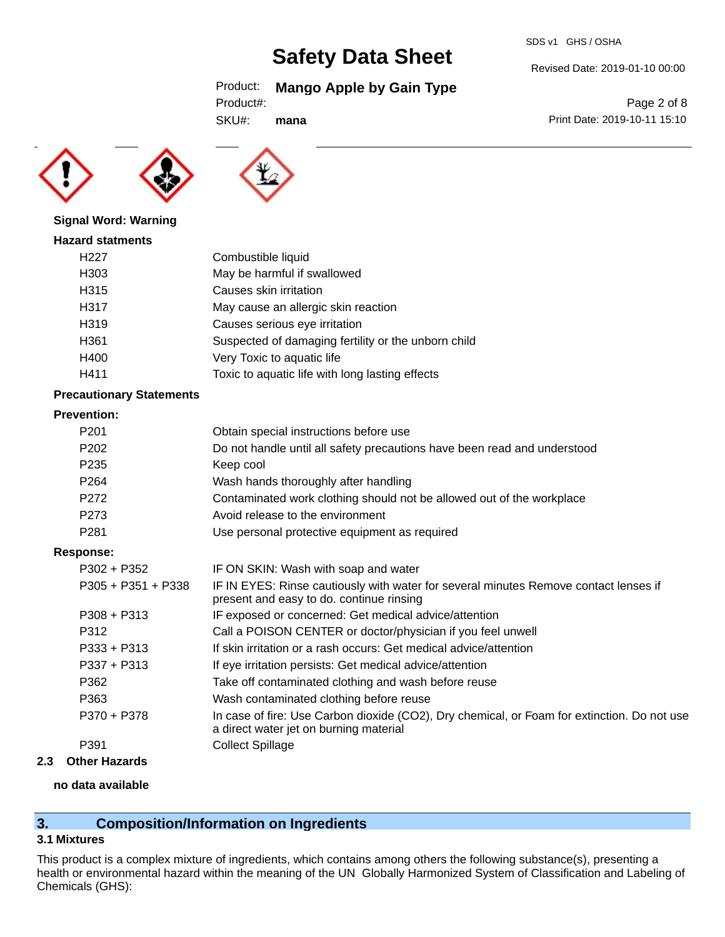#### SDS v1 GHS / OSHA

## **Safety Data Sheet**

Product: **Mango Apple by Gain Type**

```
Product#:
```
SKU#: **mana**

**Signal Word: Warning**



### **Hazard statments** H227 Combustible liquid H303 May be harmful if swallowed H315 Causes skin irritation H317 May cause an allergic skin reaction H319 Causes serious eye irritation H361 Suspected of damaging fertility or the unborn child H400 Very Toxic to aquatic life H411 Toxic to aquatic life with long lasting effects

#### **Precautionary Statements**

#### **Prevention:**

| FIEVENUOH.           |                                                                                                                                       |
|----------------------|---------------------------------------------------------------------------------------------------------------------------------------|
| P <sub>201</sub>     | Obtain special instructions before use                                                                                                |
| P <sub>202</sub>     | Do not handle until all safety precautions have been read and understood                                                              |
| P <sub>235</sub>     | Keep cool                                                                                                                             |
| P <sub>264</sub>     | Wash hands thoroughly after handling                                                                                                  |
| P <sub>272</sub>     | Contaminated work clothing should not be allowed out of the workplace                                                                 |
| P273                 | Avoid release to the environment                                                                                                      |
| P <sub>281</sub>     | Use personal protective equipment as required                                                                                         |
| Response:            |                                                                                                                                       |
| $P302 + P352$        | IF ON SKIN: Wash with soap and water                                                                                                  |
| $P305 + P351 + P338$ | IF IN EYES: Rinse cautiously with water for several minutes Remove contact lenses if<br>present and easy to do. continue rinsing      |
| $P308 + P313$        | IF exposed or concerned: Get medical advice/attention                                                                                 |
| P312                 | Call a POISON CENTER or doctor/physician if you feel unwell                                                                           |
| $P333 + P313$        | If skin irritation or a rash occurs: Get medical advice/attention                                                                     |
| $P337 + P313$        | If eye irritation persists: Get medical advice/attention                                                                              |
| P362                 | Take off contaminated clothing and wash before reuse                                                                                  |
| P363                 | Wash contaminated clothing before reuse                                                                                               |
| P370 + P378          | In case of fire: Use Carbon dioxide (CO2), Dry chemical, or Foam for extinction. Do not use<br>a direct water jet on burning material |
| P391                 | <b>Collect Spillage</b>                                                                                                               |
| Athar Hamarda        |                                                                                                                                       |

#### **2.3 Other Hazards**

#### **no data available**

### **3. Composition/Information on Ingredients**

#### **3.1 Mixtures**

This product is a complex mixture of ingredients, which contains among others the following substance(s), presenting a health or environmental hazard within the meaning of the UN Globally Harmonized System of Classification and Labeling of Chemicals (GHS):

Revised Date: 2019-01-10 00:00

Page 2 of 8 Print Date: 2019-10-11 15:10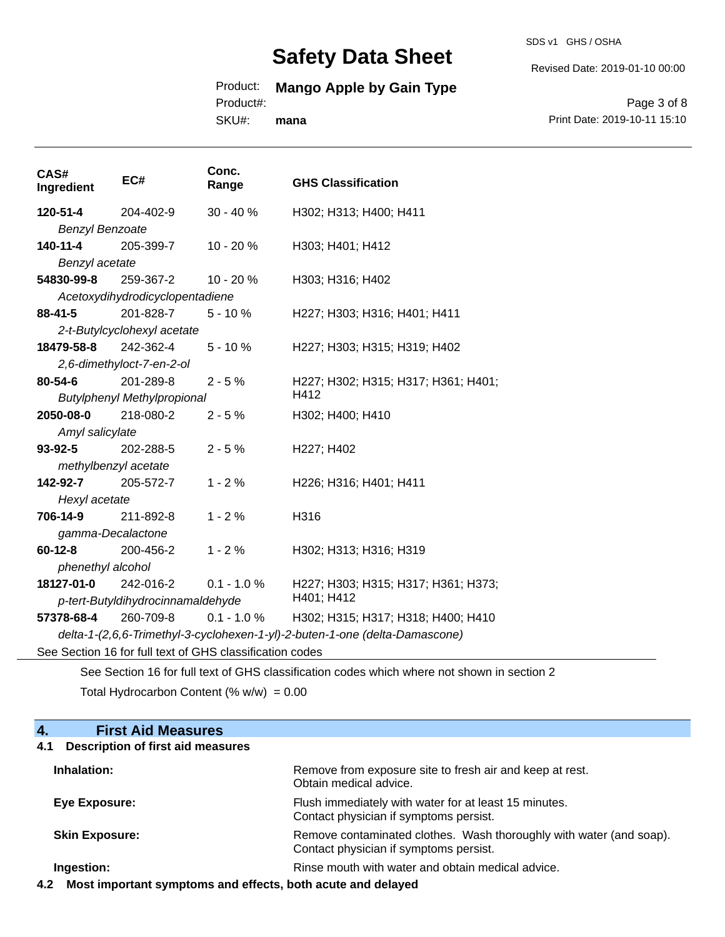SDS v1 GHS / OSHA

Revised Date: 2019-01-10 00:00

## Product: **Mango Apple by Gain Type**

Product#:

SKU#: **mana**

Page 3 of 8 Print Date: 2019-10-11 15:10

| CAS#<br>Ingredient                                                          | EC#                                | Conc.<br>Range                                           | <b>GHS Classification</b>           |  |
|-----------------------------------------------------------------------------|------------------------------------|----------------------------------------------------------|-------------------------------------|--|
| 120-51-4                                                                    | 204-402-9                          | $30 - 40%$                                               | H302; H313; H400; H411              |  |
| <b>Benzyl Benzoate</b>                                                      |                                    |                                                          |                                     |  |
| 140-11-4                                                                    | 205-399-7                          | 10 - 20 %                                                | H303; H401; H412                    |  |
| Benzyl acetate                                                              |                                    |                                                          |                                     |  |
| 54830-99-8                                                                  | 259-367-2                          | 10 - 20 %                                                | H303; H316; H402                    |  |
|                                                                             | Acetoxydihydrodicyclopentadiene    |                                                          |                                     |  |
| $88 - 41 - 5$                                                               | 201-828-7                          | $5 - 10%$                                                | H227; H303; H316; H401; H411        |  |
|                                                                             | 2-t-Butylcyclohexyl acetate        |                                                          |                                     |  |
| 18479-58-8                                                                  | 242-362-4                          | $5 - 10%$                                                | H227; H303; H315; H319; H402        |  |
|                                                                             | 2,6-dimethyloct-7-en-2-ol          |                                                          |                                     |  |
| $80 - 54 - 6$                                                               | 201-289-8                          | $2 - 5%$                                                 | H227; H302; H315; H317; H361; H401; |  |
|                                                                             | <b>Butylphenyl Methylpropional</b> |                                                          | H412                                |  |
| 2050-08-0                                                                   | 218-080-2                          | $2 - 5%$                                                 | H302; H400; H410                    |  |
| Amyl salicylate                                                             |                                    |                                                          |                                     |  |
| 93-92-5                                                                     | 202-288-5                          | $2 - 5%$                                                 | H227; H402                          |  |
| methylbenzyl acetate                                                        |                                    |                                                          |                                     |  |
| 142-92-7                                                                    | 205-572-7                          | $1 - 2%$                                                 | H226; H316; H401; H411              |  |
| Hexyl acetate                                                               |                                    |                                                          |                                     |  |
| 706-14-9                                                                    | 211-892-8                          | $1 - 2%$                                                 | H316                                |  |
| gamma-Decalactone                                                           |                                    |                                                          |                                     |  |
| $60 - 12 - 8$                                                               | 200-456-2                          | $1 - 2%$                                                 | H302; H313; H316; H319              |  |
| phenethyl alcohol                                                           |                                    |                                                          |                                     |  |
| 18127-01-0                                                                  | 242-016-2                          | $0.1 - 1.0 %$                                            | H227; H303; H315; H317; H361; H373; |  |
| H401; H412<br>p-tert-Butyldihydrocinnamaldehyde                             |                                    |                                                          |                                     |  |
| 57378-68-4                                                                  | 260-709-8                          | $0.1 - 1.0 %$                                            | H302; H315; H317; H318; H400; H410  |  |
| delta-1-(2,6,6-Trimethyl-3-cyclohexen-1-yl)-2-buten-1-one (delta-Damascone) |                                    |                                                          |                                     |  |
|                                                                             |                                    | See Section 16 for full text of GHS classification codes |                                     |  |

See Section 16 for full text of GHS classification codes which where not shown in section 2

Total Hydrocarbon Content  $(\% w/w) = 0.00$ 

| 4.<br><b>First Aid Measures</b>                                 |                                                                                                               |
|-----------------------------------------------------------------|---------------------------------------------------------------------------------------------------------------|
| <b>Description of first aid measures</b><br>4.1                 |                                                                                                               |
| Inhalation:                                                     | Remove from exposure site to fresh air and keep at rest.<br>Obtain medical advice.                            |
| Eye Exposure:                                                   | Flush immediately with water for at least 15 minutes.<br>Contact physician if symptoms persist.               |
| <b>Skin Exposure:</b>                                           | Remove contaminated clothes. Wash thoroughly with water (and soap).<br>Contact physician if symptoms persist. |
| Ingestion:                                                      | Rinse mouth with water and obtain medical advice.                                                             |
| A 2. Most impartant cumptame and effects hath squte and delayed |                                                                                                               |

**4.2 Most important symptoms and effects, both acute and delayed**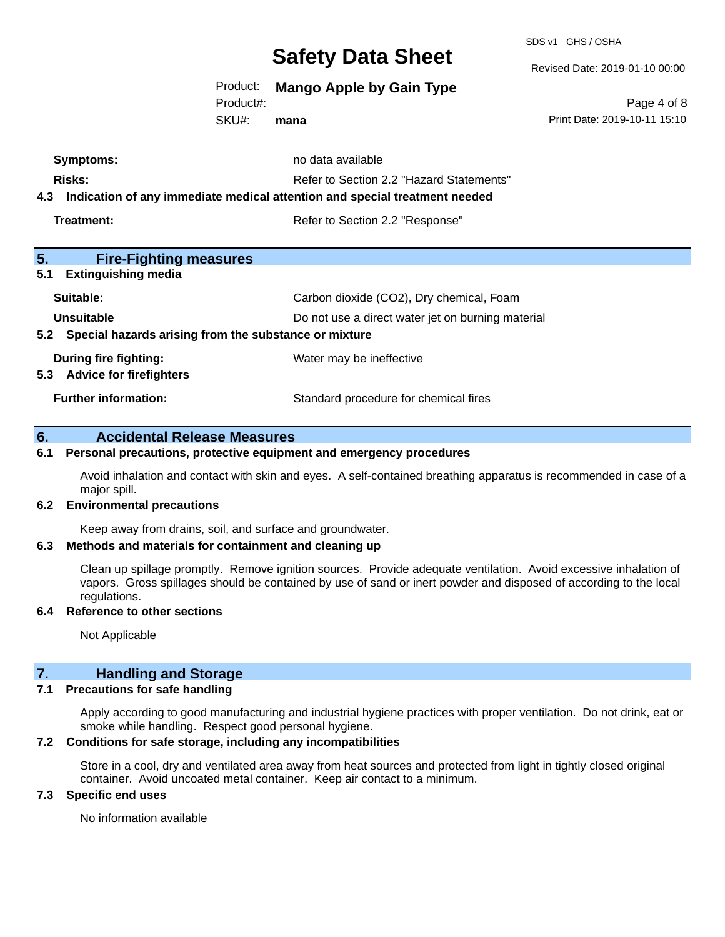SDS v1 GHS / OSHA

Revised Date: 2019-01-10 00:00

Product: **Mango Apple by Gain Type**

Product#:

SKU#: **mana**

Page 4 of 8 Print Date: 2019-10-11 15:10

| <b>Symptoms:</b>                                                                  | no data available                        |  |  |
|-----------------------------------------------------------------------------------|------------------------------------------|--|--|
| Risks:                                                                            | Refer to Section 2.2 "Hazard Statements" |  |  |
| Indication of any immediate medical attention and special treatment needed<br>4.3 |                                          |  |  |
| Treatment:                                                                        | Refer to Section 2.2 "Response"          |  |  |
|                                                                                   |                                          |  |  |
| 5.<br><b>Fire-Fighting measures</b>                                               |                                          |  |  |
| <b>Extinguishing media</b><br>5.1                                                 |                                          |  |  |
| Suitable:                                                                         | Carbon dioxide (CO2), Dry chemical, Foam |  |  |
| Unsuitable<br>Do not use a direct water jet on burning material                   |                                          |  |  |
| Special hazards arising from the substance or mixture<br>5.2                      |                                          |  |  |
| During fire fighting:                                                             | Water may be ineffective                 |  |  |
| <b>Advice for firefighters</b><br>5.3                                             |                                          |  |  |
| <b>Further information:</b>                                                       | Standard procedure for chemical fires    |  |  |
|                                                                                   |                                          |  |  |

#### **6. Accidental Release Measures**

#### **6.1 Personal precautions, protective equipment and emergency procedures**

Avoid inhalation and contact with skin and eyes. A self-contained breathing apparatus is recommended in case of a major spill.

#### **6.2 Environmental precautions**

Keep away from drains, soil, and surface and groundwater.

#### **6.3 Methods and materials for containment and cleaning up**

Clean up spillage promptly. Remove ignition sources. Provide adequate ventilation. Avoid excessive inhalation of vapors. Gross spillages should be contained by use of sand or inert powder and disposed of according to the local regulations.

#### **6.4 Reference to other sections**

Not Applicable

## **7. Handling and Storage**

#### **7.1 Precautions for safe handling**

Apply according to good manufacturing and industrial hygiene practices with proper ventilation. Do not drink, eat or smoke while handling. Respect good personal hygiene.

#### **7.2 Conditions for safe storage, including any incompatibilities**

Store in a cool, dry and ventilated area away from heat sources and protected from light in tightly closed original container. Avoid uncoated metal container. Keep air contact to a minimum.

#### **7.3 Specific end uses**

No information available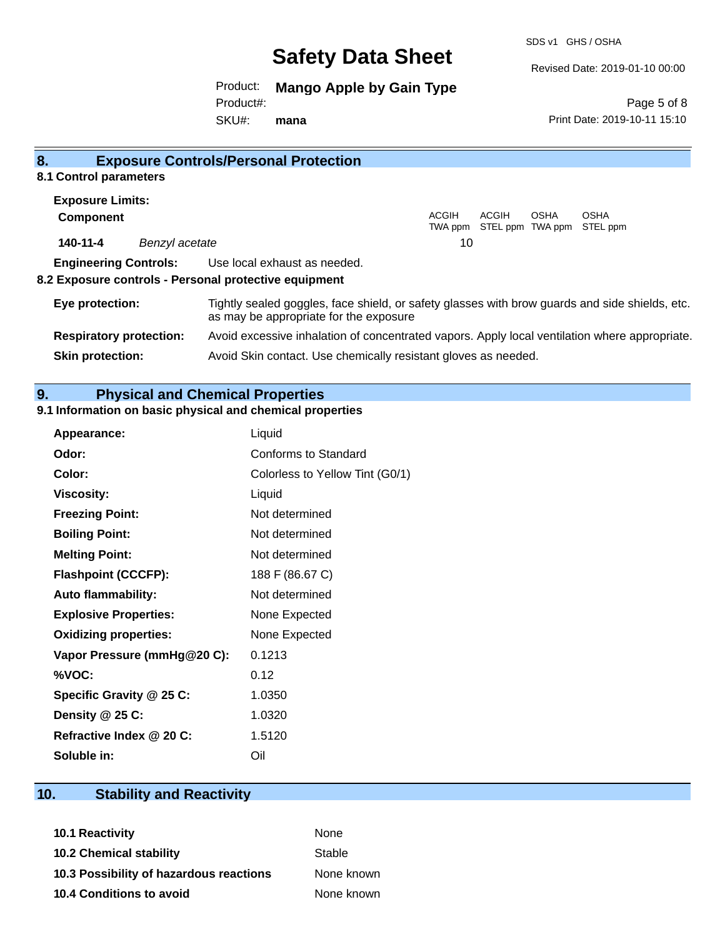SDS v1 GHS / OSHA

Revised Date: 2019-01-10 00:00

Print Date: 2019-10-11 15:10

Page 5 of 8

Product: **Mango Apple by Gain Type**

Product#:

SKU#: **mana**

| 8.                             |                | <b>Exposure Controls/Personal Protection</b>                                                                                             |                         |       |                                 |                         |  |
|--------------------------------|----------------|------------------------------------------------------------------------------------------------------------------------------------------|-------------------------|-------|---------------------------------|-------------------------|--|
| 8.1 Control parameters         |                |                                                                                                                                          |                         |       |                                 |                         |  |
| <b>Exposure Limits:</b>        |                |                                                                                                                                          |                         |       |                                 |                         |  |
| <b>Component</b>               |                |                                                                                                                                          | <b>ACGIH</b><br>TWA ppm | ACGIH | <b>OSHA</b><br>STEL ppm TWA ppm | <b>OSHA</b><br>STEL ppm |  |
| 140-11-4                       | Benzyl acetate |                                                                                                                                          | 10                      |       |                                 |                         |  |
| <b>Engineering Controls:</b>   |                | Use local exhaust as needed.                                                                                                             |                         |       |                                 |                         |  |
|                                |                | 8.2 Exposure controls - Personal protective equipment                                                                                    |                         |       |                                 |                         |  |
| Eye protection:                |                | Tightly sealed goggles, face shield, or safety glasses with brow guards and side shields, etc.<br>as may be appropriate for the exposure |                         |       |                                 |                         |  |
| <b>Respiratory protection:</b> |                | Avoid excessive inhalation of concentrated vapors. Apply local ventilation where appropriate.                                            |                         |       |                                 |                         |  |
| <b>Skin protection:</b>        |                | Avoid Skin contact. Use chemically resistant gloves as needed.                                                                           |                         |       |                                 |                         |  |

## **9. Physical and Chemical Properties**

#### **9.1 Information on basic physical and chemical properties**

| <b>Appearance:</b>           | Liquid                          |
|------------------------------|---------------------------------|
| Odor:                        | Conforms to Standard            |
| Color:                       | Colorless to Yellow Tint (G0/1) |
| <b>Viscosity:</b>            | Liquid                          |
| <b>Freezing Point:</b>       | Not determined                  |
| <b>Boiling Point:</b>        | Not determined                  |
| <b>Melting Point:</b>        | Not determined                  |
| <b>Flashpoint (CCCFP):</b>   | 188 F (86.67 C)                 |
| Auto flammability:           | Not determined                  |
| <b>Explosive Properties:</b> | None Expected                   |
| <b>Oxidizing properties:</b> | None Expected                   |
| Vapor Pressure (mmHg@20 C):  | 0.1213                          |
| %VOC:                        | 0.12                            |
| Specific Gravity @ 25 C:     | 1.0350                          |
| Density @ 25 C:              | 1.0320                          |
| Refractive Index @ 20 C:     | 1.5120                          |
| Soluble in:                  | Oil                             |

## **10. Stability and Reactivity**

| <b>10.1 Reactivity</b>                  | None       |
|-----------------------------------------|------------|
| <b>10.2 Chemical stability</b>          | Stable     |
| 10.3 Possibility of hazardous reactions | None known |
| 10.4 Conditions to avoid                | None known |
|                                         |            |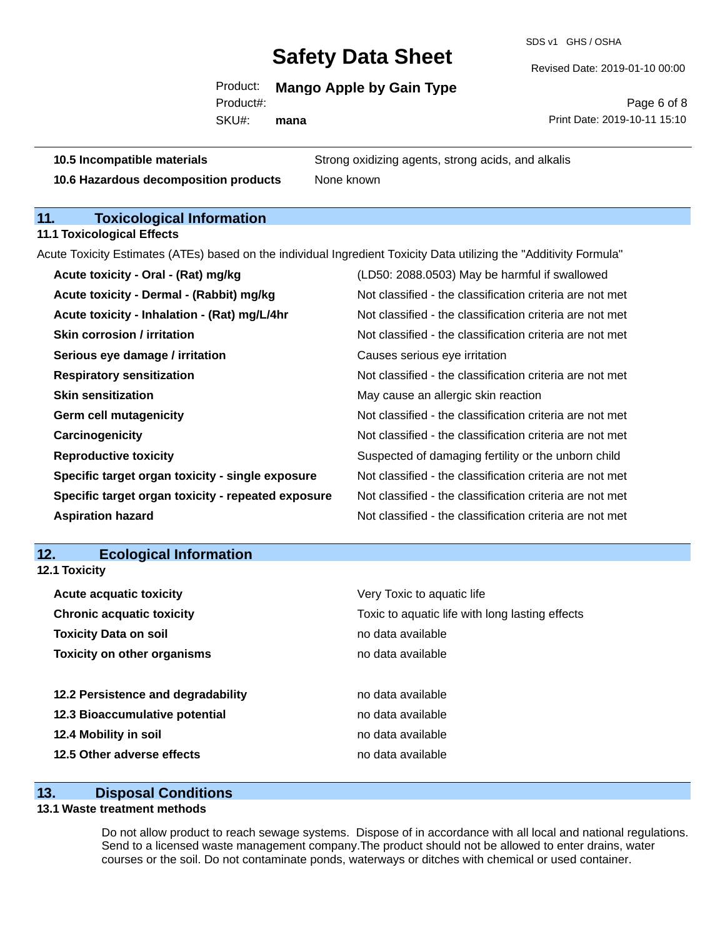SDS v1 GHS / OSHA

Revised Date: 2019-01-10 00:00

Product: **Mango Apple by Gain Type** Product#:

SKU#: **mana**

Page 6 of 8 Print Date: 2019-10-11 15:10

**10.5 Incompatible materials 10.5 Strong oxidizing agents, strong acids, and alkalis 10.6 Hazardous decomposition products** None known

### **11. Toxicological Information**

**11.1 Toxicological Effects**

Acute Toxicity Estimates (ATEs) based on the individual Ingredient Toxicity Data utilizing the "Additivity Formula"

| Acute toxicity - Oral - (Rat) mg/kg                | (LD50: 2088.0503) May be harmful if swallowed            |
|----------------------------------------------------|----------------------------------------------------------|
| Acute toxicity - Dermal - (Rabbit) mg/kg           | Not classified - the classification criteria are not met |
| Acute toxicity - Inhalation - (Rat) mg/L/4hr       | Not classified - the classification criteria are not met |
| <b>Skin corrosion / irritation</b>                 | Not classified - the classification criteria are not met |
| Serious eye damage / irritation                    | Causes serious eye irritation                            |
| <b>Respiratory sensitization</b>                   | Not classified - the classification criteria are not met |
| <b>Skin sensitization</b>                          | May cause an allergic skin reaction                      |
| <b>Germ cell mutagenicity</b>                      | Not classified - the classification criteria are not met |
| Carcinogenicity                                    | Not classified - the classification criteria are not met |
| <b>Reproductive toxicity</b>                       | Suspected of damaging fertility or the unborn child      |
| Specific target organ toxicity - single exposure   | Not classified - the classification criteria are not met |
| Specific target organ toxicity - repeated exposure | Not classified - the classification criteria are not met |
| <b>Aspiration hazard</b>                           | Not classified - the classification criteria are not met |

#### **12. Ecological Information**

**12.1 Toxicity**

| Very Toxic to aquatic life                      |
|-------------------------------------------------|
| Toxic to aquatic life with long lasting effects |
| no data available                               |
| no data available                               |
|                                                 |
| no data available                               |
| no data available                               |
| no data available                               |
| no data available                               |
|                                                 |

#### **13. Disposal Conditions**

#### **13.1 Waste treatment methods**

Do not allow product to reach sewage systems. Dispose of in accordance with all local and national regulations. Send to a licensed waste management company.The product should not be allowed to enter drains, water courses or the soil. Do not contaminate ponds, waterways or ditches with chemical or used container.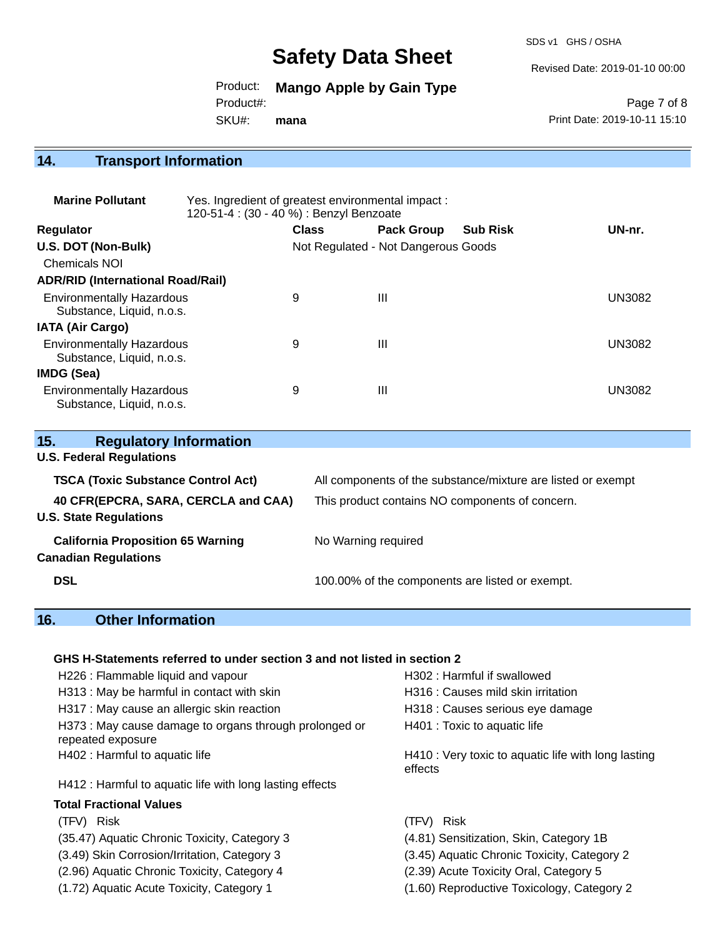SDS v1 GHS / OSHA

Revised Date: 2019-01-10 00:00

Product: **Mango Apple by Gain Type** Product#:

SKU#: **mana**

Page 7 of 8 Print Date: 2019-10-11 15:10

## **14. Transport Information**

| <b>Marine Pollutant</b>                                       | Yes. Ingredient of greatest environmental impact:<br>120-51-4 : (30 - 40 %) : Benzyl Benzoate |              |                                     |                 |               |
|---------------------------------------------------------------|-----------------------------------------------------------------------------------------------|--------------|-------------------------------------|-----------------|---------------|
| <b>Regulator</b>                                              |                                                                                               | <b>Class</b> | <b>Pack Group</b>                   | <b>Sub Risk</b> | UN-nr.        |
| U.S. DOT (Non-Bulk)                                           |                                                                                               |              | Not Regulated - Not Dangerous Goods |                 |               |
| Chemicals NOI                                                 |                                                                                               |              |                                     |                 |               |
| <b>ADR/RID (International Road/Rail)</b>                      |                                                                                               |              |                                     |                 |               |
| <b>Environmentally Hazardous</b><br>Substance, Liquid, n.o.s. |                                                                                               | 9            | Ш                                   |                 | <b>UN3082</b> |
| <b>IATA (Air Cargo)</b>                                       |                                                                                               |              |                                     |                 |               |
| <b>Environmentally Hazardous</b><br>Substance, Liquid, n.o.s. |                                                                                               | 9            | Ш                                   |                 | <b>UN3082</b> |
| IMDG (Sea)                                                    |                                                                                               |              |                                     |                 |               |
| <b>Environmentally Hazardous</b><br>Substance, Liquid, n.o.s. |                                                                                               | 9            | $\mathbf{III}$                      |                 | <b>UN3082</b> |

| 15.<br><b>Regulatory Information</b>      |                                                              |
|-------------------------------------------|--------------------------------------------------------------|
| <b>U.S. Federal Regulations</b>           |                                                              |
| <b>TSCA (Toxic Substance Control Act)</b> | All components of the substance/mixture are listed or exempt |
| 40 CFR(EPCRA, SARA, CERCLA and CAA)       | This product contains NO components of concern.              |
| <b>U.S. State Regulations</b>             |                                                              |
| <b>California Proposition 65 Warning</b>  | No Warning required                                          |
| <b>Canadian Regulations</b>               |                                                              |
| <b>DSL</b>                                | 100.00% of the components are listed or exempt.              |

## **16. Other Information**

#### **GHS H-Statements referred to under section 3 and not listed in section 2**

| H226 : Flammable liquid and vapour                                          | H302 : Harmful if swallowed                                    |
|-----------------------------------------------------------------------------|----------------------------------------------------------------|
| H313: May be harmful in contact with skin                                   | H316 : Causes mild skin irritation                             |
| H317 : May cause an allergic skin reaction                                  | H318 : Causes serious eye damage                               |
| H373 : May cause damage to organs through prolonged or<br>repeated exposure | H401 : Toxic to aquatic life                                   |
| H402 : Harmful to aquatic life                                              | H410 : Very toxic to aquatic life with long lasting<br>effects |
| H412 : Harmful to aquatic life with long lasting effects                    |                                                                |
| <b>Total Fractional Values</b>                                              |                                                                |
| (TFV) Risk                                                                  | (TFV) Risk                                                     |
| (35.47) Aquatic Chronic Toxicity, Category 3                                | (4.81) Sensitization, Skin, Category 1B                        |
| (3.49) Skin Corrosion/Irritation, Category 3                                | (3.45) Aquatic Chronic Toxicity, Category 2                    |
| (2.96) Aquatic Chronic Toxicity, Category 4                                 | (2.39) Acute Toxicity Oral, Category 5                         |

(1.72) Aquatic Acute Toxicity, Category 1 (1.60) Reproductive Toxicology, Category 2